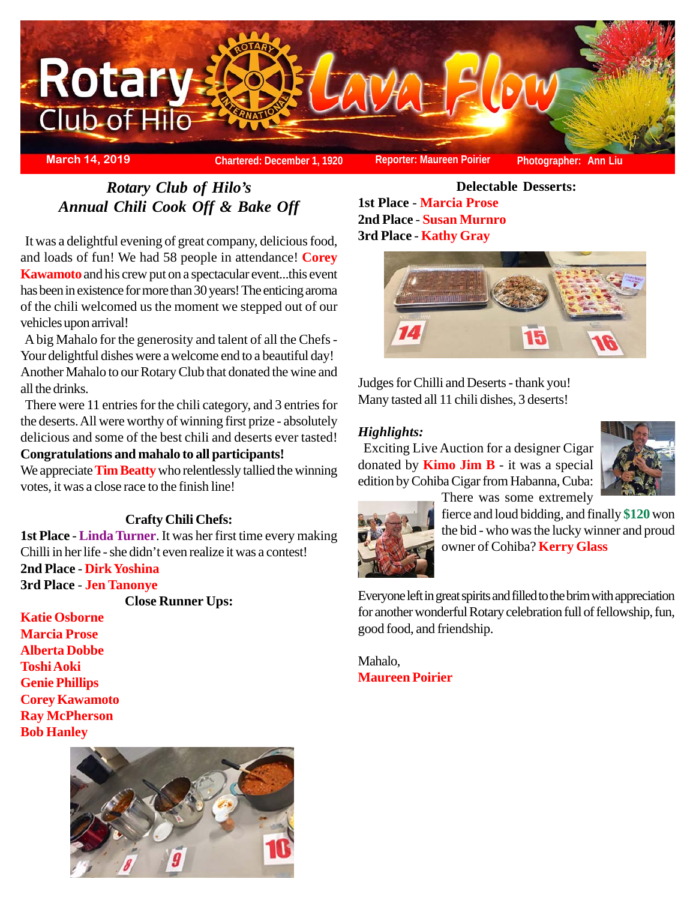

*Rotary Club of Hilo's Annual Chili Cook Off & Bake Off*

 It was a delightful evening of great company, delicious food, and loads of fun! We had 58 people in attendance! **Corey Kawamoto** and his crew put on a spectacular event...this event has been in existence for more than 30 years! The enticing aroma of the chili welcomed us the moment we stepped out of our vehicles upon arrival!

 A big Mahalo for the generosity and talent of all the Chefs - Your delightful dishes were a welcome end to a beautiful day! Another Mahalo to our Rotary Club that donated the wine and all the drinks.

 There were 11 entries for the chili category, and 3 entries for the deserts. All were worthy of winning first prize - absolutely delicious and some of the best chili and deserts ever tasted! **Congratulations and mahalo to all participants!**

We appreciate **Tim Beatty** who relentlessly tallied the winning votes, it was a close race to the finish line!

## **Crafty Chili Chefs:**

**1st Place** - **Linda Turner**. It was her first time every making Chilli in her life - she didn't even realize it was a contest! **2nd Place** - **Dirk Yoshina 3rd Place** - **Jen Tanonye**

**Close Runner Ups:**

**Katie Osborne Marcia Prose Alberta Dobbe Toshi Aoki Genie Phillips Corey Kawamoto Ray McPherson Bob Hanley**



**Delectable Desserts: 1st Place** - **Marcia Prose 2nd Place** - **Susan Murnro 3rd Place** - **Kathy Gray**



Judges for Chilli and Deserts - thank you! Many tasted all 11 chili dishes, 3 deserts!

### *Highlights:*

 Exciting Live Auction for a designer Cigar donated by **Kimo Jim B** - it was a special edition by Cohiba Cigar from Habanna, Cuba: There was some extremely





fierce and loud bidding, and finally **\$120** won the bid - who was the lucky winner and proud owner of Cohiba? **Kerry Glass**

Everyone left in great spirits and filled to the brim with appreciation for another wonderful Rotary celebration full of fellowship, fun, good food, and friendship.

Mahalo, **Maureen Poirier**